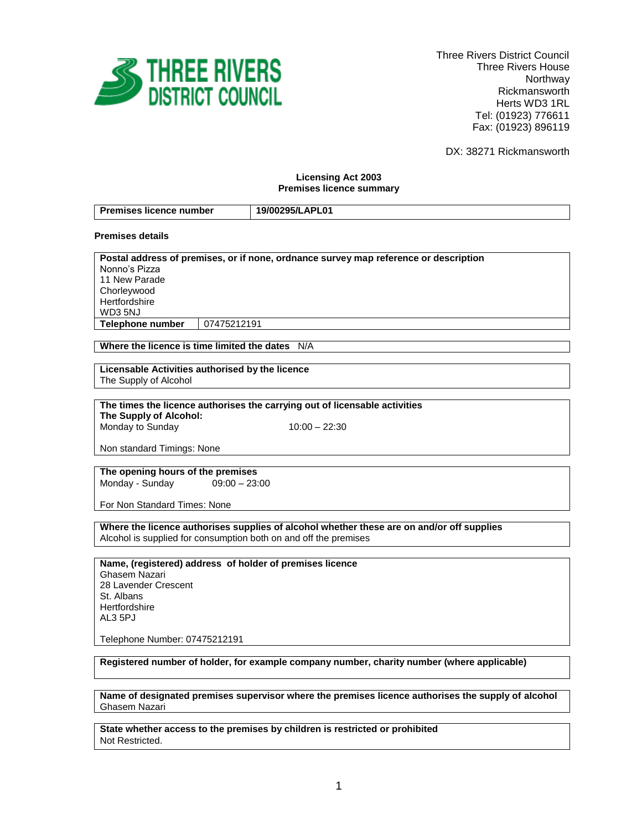

 Three Rivers District Council Three Rivers House Northway Rickmansworth Herts WD3 1RL Tel: (01923) 776611 Fax: (01923) 896119

DX: 38271 Rickmansworth

# **Licensing Act 2003 Premises licence summary**

| Premises licence number_ | 19/00295/LAPL01 |
|--------------------------|-----------------|

### **Premises details**

**Where the licence is time limited the dates** N/A

### **Licensable Activities authorised by the licence** The Supply of Alcohol

**The times the licence authorises the carrying out of licensable activities The Supply of Alcohol:** Monday to Sunday 10:00 – 22:30

Non standard Timings: None

**The opening hours of the premises** Monday - Sunday 09:00 – 23:00

For Non Standard Times: None

**Where the licence authorises supplies of alcohol whether these are on and/or off supplies** Alcohol is supplied for consumption both on and off the premises

**Name, (registered) address of holder of premises licence** Ghasem Nazari 28 Lavender Crescent St. Albans **Hertfordshire** AL3 5PJ

Telephone Number: 07475212191

**Registered number of holder, for example company number, charity number (where applicable)**

**Name of designated premises supervisor where the premises licence authorises the supply of alcohol** Ghasem Nazari

**State whether access to the premises by children is restricted or prohibited** Not Restricted.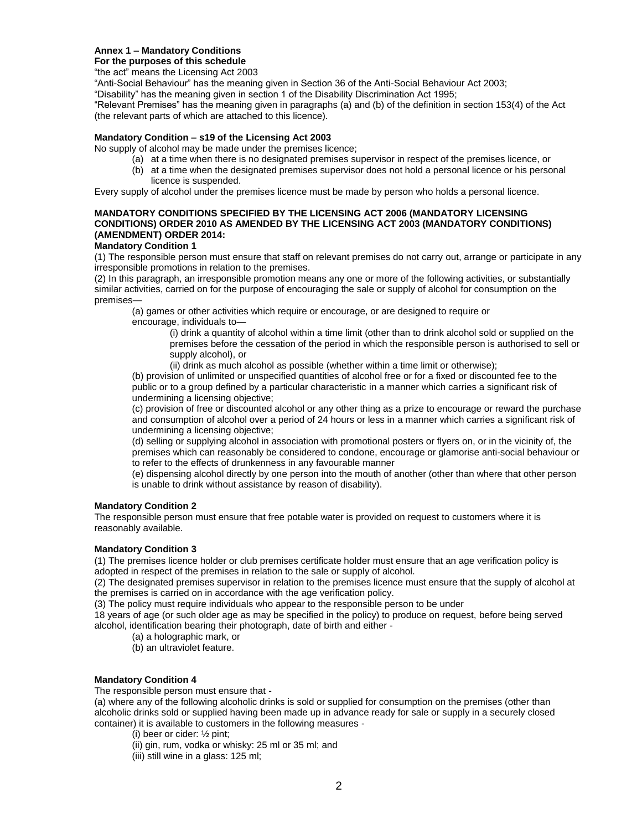## **Annex 1 – Mandatory Conditions**

#### **For the purposes of this schedule**

"the act" means the Licensing Act 2003

"Anti-Social Behaviour" has the meaning given in Section 36 of the Anti-Social Behaviour Act 2003;

"Disability" has the meaning given in section 1 of the Disability Discrimination Act 1995;

"Relevant Premises" has the meaning given in paragraphs (a) and (b) of the definition in section 153(4) of the Act (the relevant parts of which are attached to this licence).

## **Mandatory Condition – s19 of the Licensing Act 2003**

No supply of alcohol may be made under the premises licence;

- (a) at a time when there is no designated premises supervisor in respect of the premises licence, or
- (b) at a time when the designated premises supervisor does not hold a personal licence or his personal licence is suspended.

Every supply of alcohol under the premises licence must be made by person who holds a personal licence.

# **MANDATORY CONDITIONS SPECIFIED BY THE LICENSING ACT 2006 (MANDATORY LICENSING CONDITIONS) ORDER 2010 AS AMENDED BY THE LICENSING ACT 2003 (MANDATORY CONDITIONS) (AMENDMENT) ORDER 2014:**

#### **Mandatory Condition 1**

(1) The responsible person must ensure that staff on relevant premises do not carry out, arrange or participate in any irresponsible promotions in relation to the premises.

(2) In this paragraph, an irresponsible promotion means any one or more of the following activities, or substantially similar activities, carried on for the purpose of encouraging the sale or supply of alcohol for consumption on the premises—

(a) games or other activities which require or encourage, or are designed to require or

encourage, individuals to—

(i) drink a quantity of alcohol within a time limit (other than to drink alcohol sold or supplied on the premises before the cessation of the period in which the responsible person is authorised to sell or supply alcohol), or

(ii) drink as much alcohol as possible (whether within a time limit or otherwise);

(b) provision of unlimited or unspecified quantities of alcohol free or for a fixed or discounted fee to the public or to a group defined by a particular characteristic in a manner which carries a significant risk of undermining a licensing objective;

(c) provision of free or discounted alcohol or any other thing as a prize to encourage or reward the purchase and consumption of alcohol over a period of 24 hours or less in a manner which carries a significant risk of undermining a licensing objective;

(d) selling or supplying alcohol in association with promotional posters or flyers on, or in the vicinity of, the premises which can reasonably be considered to condone, encourage or glamorise anti-social behaviour or to refer to the effects of drunkenness in any favourable manner

(e) dispensing alcohol directly by one person into the mouth of another (other than where that other person is unable to drink without assistance by reason of disability).

## **Mandatory Condition 2**

The responsible person must ensure that free potable water is provided on request to customers where it is reasonably available.

## **Mandatory Condition 3**

(1) The premises licence holder or club premises certificate holder must ensure that an age verification policy is adopted in respect of the premises in relation to the sale or supply of alcohol.

(2) The designated premises supervisor in relation to the premises licence must ensure that the supply of alcohol at the premises is carried on in accordance with the age verification policy.

(3) The policy must require individuals who appear to the responsible person to be under

18 years of age (or such older age as may be specified in the policy) to produce on request, before being served alcohol, identification bearing their photograph, date of birth and either -

(a) a holographic mark, or

(b) an ultraviolet feature.

# **Mandatory Condition 4**

The responsible person must ensure that -

(a) where any of the following alcoholic drinks is sold or supplied for consumption on the premises (other than alcoholic drinks sold or supplied having been made up in advance ready for sale or supply in a securely closed container) it is available to customers in the following measures -

- (i) beer or cider: ½ pint;
- (ii) gin, rum, vodka or whisky: 25 ml or 35 ml; and
- (iii) still wine in a glass: 125 ml;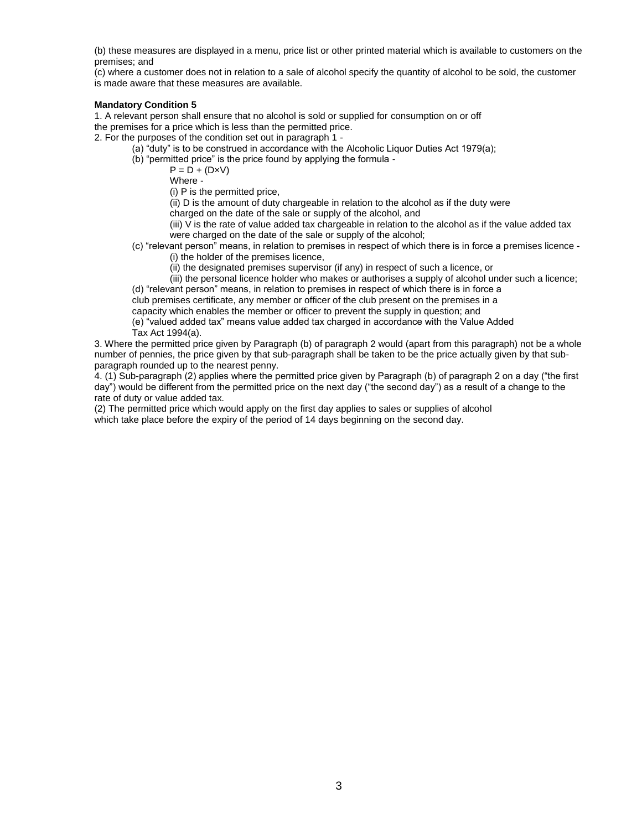(b) these measures are displayed in a menu, price list or other printed material which is available to customers on the premises; and

(c) where a customer does not in relation to a sale of alcohol specify the quantity of alcohol to be sold, the customer is made aware that these measures are available.

### **Mandatory Condition 5**

1. A relevant person shall ensure that no alcohol is sold or supplied for consumption on or off the premises for a price which is less than the permitted price.

2. For the purposes of the condition set out in paragraph 1 -

- (a) "duty" is to be construed in accordance with the Alcoholic Liquor Duties Act 1979(a);
	- (b) "permitted price" is the price found by applying the formula -

 $P = D + (D \times V)$ 

Where -

(i) P is the permitted price,

(ii) D is the amount of duty chargeable in relation to the alcohol as if the duty were

charged on the date of the sale or supply of the alcohol, and

(iii) V is the rate of value added tax chargeable in relation to the alcohol as if the value added tax were charged on the date of the sale or supply of the alcohol;

- (c) "relevant person" means, in relation to premises in respect of which there is in force a premises licence
	- (i) the holder of the premises licence,
	- (ii) the designated premises supervisor (if any) in respect of such a licence, or

(iii) the personal licence holder who makes or authorises a supply of alcohol under such a licence; (d) "relevant person" means, in relation to premises in respect of which there is in force a

club premises certificate, any member or officer of the club present on the premises in a

capacity which enables the member or officer to prevent the supply in question; and

(e) "valued added tax" means value added tax charged in accordance with the Value Added Tax Act 1994(a).

3. Where the permitted price given by Paragraph (b) of paragraph 2 would (apart from this paragraph) not be a whole number of pennies, the price given by that sub-paragraph shall be taken to be the price actually given by that subparagraph rounded up to the nearest penny.

4. (1) Sub-paragraph (2) applies where the permitted price given by Paragraph (b) of paragraph 2 on a day ("the first day") would be different from the permitted price on the next day ("the second day") as a result of a change to the rate of duty or value added tax.

(2) The permitted price which would apply on the first day applies to sales or supplies of alcohol which take place before the expiry of the period of 14 days beginning on the second day.